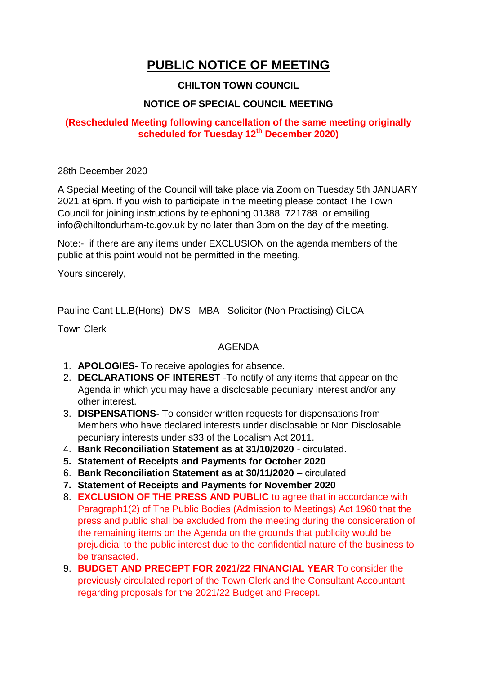# **PUBLIC NOTICE OF MEETING**

## **CHILTON TOWN COUNCIL**

## **NOTICE OF SPECIAL COUNCIL MEETING**

## **(Rescheduled Meeting following cancellation of the same meeting originally scheduled for Tuesday 12th December 2020)**

28th December 2020

A Special Meeting of the Council will take place via Zoom on Tuesday 5th JANUARY 2021 at 6pm. If you wish to participate in the meeting please contact The Town Council for joining instructions by telephoning 01388 721788 or emailing info@chiltondurham-tc.gov.uk by no later than 3pm on the day of the meeting.

Note:- if there are any items under EXCLUSION on the agenda members of the public at this point would not be permitted in the meeting.

Yours sincerely,

Pauline Cant LL.B(Hons) DMS MBA Solicitor (Non Practising) CiLCA

Town Clerk

#### AGENDA

- 1. **APOLOGIES** To receive apologies for absence.
- 2. **DECLARATIONS OF INTEREST** -To notify of any items that appear on the Agenda in which you may have a disclosable pecuniary interest and/or any other interest.
- 3. **DISPENSATIONS-** To consider written requests for dispensations from Members who have declared interests under disclosable or Non Disclosable pecuniary interests under s33 of the Localism Act 2011.
- 4. **Bank Reconciliation Statement as at 31/10/2020** circulated.
- **5. Statement of Receipts and Payments for October 2020**
- 6. **Bank Reconciliation Statement as at 30/11/2020** circulated
- **7. Statement of Receipts and Payments for November 2020**
- 8. **EXCLUSION OF THE PRESS AND PUBLIC** to agree that in accordance with Paragraph1(2) of The Public Bodies (Admission to Meetings) Act 1960 that the press and public shall be excluded from the meeting during the consideration of the remaining items on the Agenda on the grounds that publicity would be prejudicial to the public interest due to the confidential nature of the business to be transacted.
- 9. **BUDGET AND PRECEPT FOR 2021/22 FINANCIAL YEAR** To consider the previously circulated report of the Town Clerk and the Consultant Accountant regarding proposals for the 2021/22 Budget and Precept.